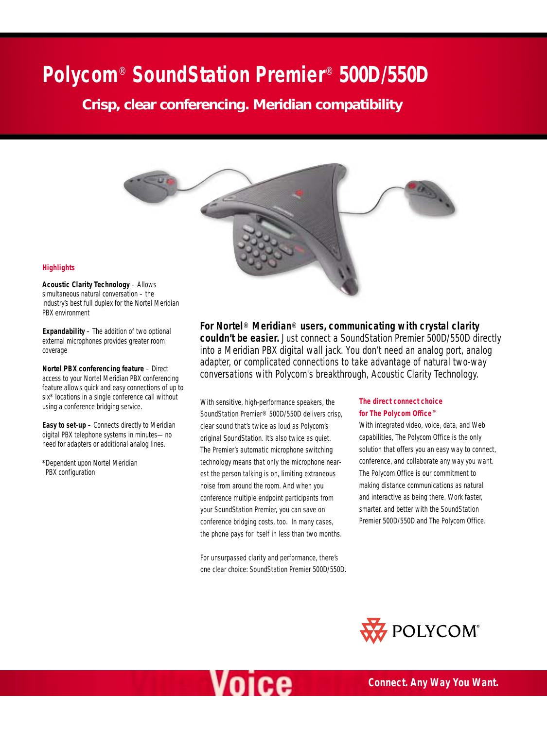# **Polycom**® **SoundStation Premier**® **500D/550D**

*Crisp, clear conferencing. Meridian compatibility*



## **Highlights**

**Acoustic Clarity Technology** – Allows simultaneous natural conversation – the industry's best full duplex for the Nortel Meridian PBX environment

**Expandability** – The addition of two optional external microphones provides greater room coverage

**Nortel PBX conferencing feature** – Direct access to your Nortel Meridian PBX conferencing feature allows quick and easy connections of up to six\* locations in a single conference call without using a conference bridging service.

**Easy to set-up** – Connects directly to Meridian digital PBX telephone systems in minutes—no need for adapters or additional analog lines.

\*Dependent upon Nortel Meridian PBX configuration

**For Nortel**® **Meridian**® **users, communicating with crystal clarity couldn't be easier.** Just connect a SoundStation Premier 500D/550D directly into a Meridian PBX digital wall jack. You don't need an analog port, analog adapter, or complicated connections to take advantage of natural two-way conversations with Polycom's breakthrough, Acoustic Clarity Technology.

With sensitive, high-performance speakers, the SoundStation Premier® 500D/550D delivers crisp, clear sound that's twice as loud as Polycom's original SoundStation. It's also twice as quiet. The Premier's automatic microphone switching technology means that only the microphone nearest the person talking is on, limiting extraneous noise from around the room. And when you conference multiple endpoint participants from your SoundStation Premier, you can save on conference bridging costs, too. In many cases, the phone pays for itself in less than two months.

For unsurpassed clarity and performance, there's one clear choice: SoundStation Premier 500D/550D.

## **The direct connect choice for The Polycom Office**™

With integrated video, voice, data, and Web capabilities, The Polycom Office is the only solution that offers you an easy way to connect, conference, and collaborate any way you want. The Polycom Office is our commitment to making distance communications as natural and interactive as being there. Work faster, smarter, and better with the SoundStation Premier 500D/550D and The Polycom Office.



# Voice

*Connect. Any Way You Want.*